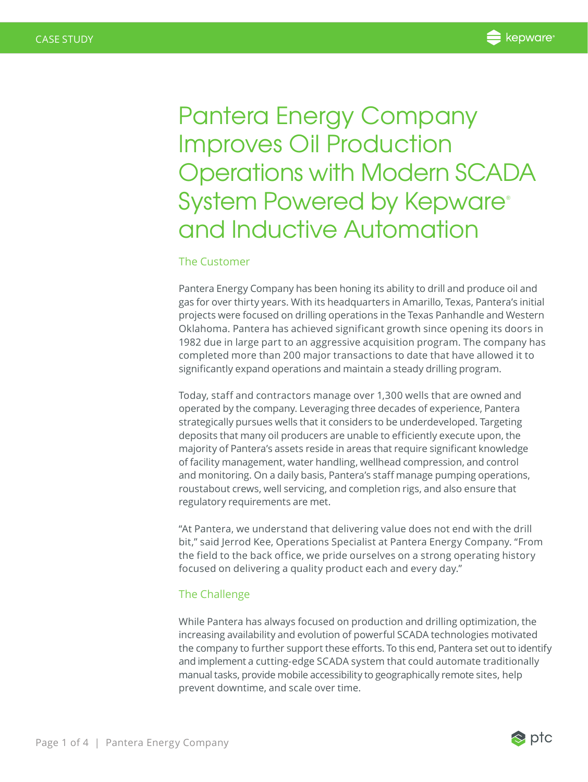Pantera Energy Company Improves Oil Production Operations with Modern SCADA System Powered by Kepware® and Inductive Automation

## The Customer

Pantera Energy Company has been honing its ability to drill and produce oil and gas for over thirty years. With its headquarters in Amarillo, Texas, Pantera's initial projects were focused on drilling operations in the Texas Panhandle and Western Oklahoma. Pantera has achieved significant growth since opening its doors in 1982 due in large part to an aggressive acquisition program. The company has completed more than 200 major transactions to date that have allowed it to significantly expand operations and maintain a steady drilling program.

Today, staff and contractors manage over 1,300 wells that are owned and operated by the company. Leveraging three decades of experience, Pantera strategically pursues wells that it considers to be underdeveloped. Targeting deposits that many oil producers are unable to efficiently execute upon, the majority of Pantera's assets reside in areas that require significant knowledge of facility management, water handling, wellhead compression, and control and monitoring. On a daily basis, Pantera's staff manage pumping operations, roustabout crews, well servicing, and completion rigs, and also ensure that regulatory requirements are met.

"At Pantera, we understand that delivering value does not end with the drill bit," said Jerrod Kee, Operations Specialist at Pantera Energy Company. "From the field to the back office, we pride ourselves on a strong operating history focused on delivering a quality product each and every day."

## The Challenge

While Pantera has always focused on production and drilling optimization, the increasing availability and evolution of powerful SCADA technologies motivated the company to further support these efforts. To this end, Pantera set out to identify and implement a cutting-edge SCADA system that could automate traditionally manual tasks, provide mobile accessibility to geographically remote sites, help prevent downtime, and scale over time.

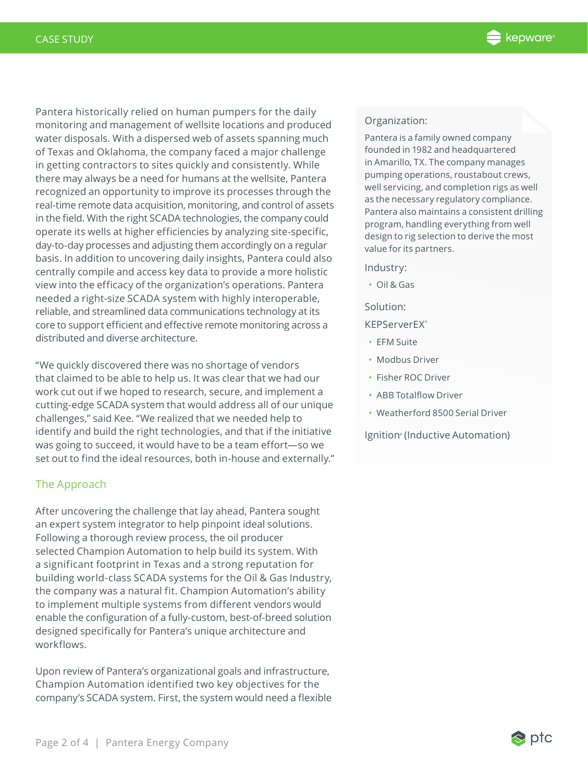Pantera historically relied on human pumpers for the daily monitoring and management of wellsite locations and produced water disposals. With a dispersed web of assets spanning much of Texas and Oklahoma, the company faced a major challenge in getting contractors to sites quickly and consistently. While there may always be a need for humans at the wellsite, Pantera recognized an opportunity to improve its processes through the real-time remote data acquisition, monitoring, and control of assets in the field. With the right SCADA technologies, the company could operate its wells at higher efficiencies by analyzing site-specific, day-to-day processes and adjusting them accordingly on a regular basis. In addition to uncovering daily insights, Pantera could also centrally compile and access key data to provide a more holistic view into the efficacy of the organization's operations. Pantera needed a right-size SCADA system with highly interoperable, reliable, and streamlined data communications technology at its core to support efficient and effective remote monitoring across a distributed and diverse architecture.

"We quickly discovered there was no shortage of vendors that claimed to be able to help us. It was clear that we had our work cut out if we hoped to research, secure, and implement a cutting-edge SCADA system that would address all of our unique challenges," said Kee. "We realized that we needed help to identify and build the right technologies, and that if the initiative was going to succeed, it would have to be a team effort—so we set out to find the ideal resources, both in-house and externally."

# The Approach

After uncovering the challenge that lay ahead, Pantera sought an expert system integrator to help pinpoint ideal solutions. Following a thorough review process, the oil producer selected Champion Automation to help build its system. With a significant footprint in Texas and a strong reputation for building world-class SCADA systems for the Oil & Gas Industry, the company was a natural fit. Champion Automation's ability to implement multiple systems from different vendors would enable the configuration of a fully-custom, best-of-breed solution designed specifically for Pantera's unique architecture and workflows.

Upon review of Pantera's organizational goals and infrastructure, Champion Automation identified two key objectives for the company's SCADA system. First, the system would need a flexible

### Organization:

Pantera is a family owned company founded in 1982 and headquartered in Amarillo, TX. The company manages pumping operations, roustabout crews, well servicing, and completion rigs as well as the necessary regulatory compliance. Pantera also maintains a consistent drilling program, handling everything from well design to rig selection to derive the most value for its partners.

Industry:

• Oil & Gas

Solution:

KEPServerEX®

- EFM Suite
- Modbus Driver
- Fisher ROC Driver
- ABB Totalflow Driver
- Weatherford 8500 Serial Driver

Ignition<sup>®</sup> (Inductive Automation)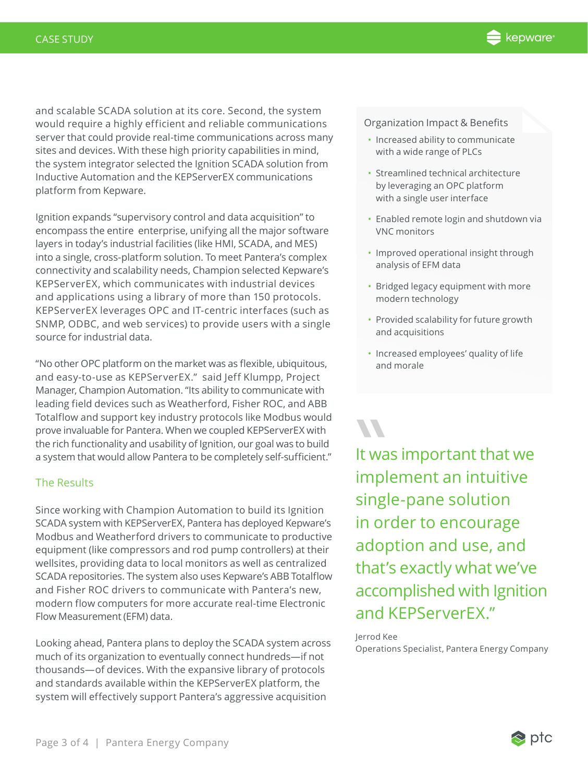and scalable SCADA solution at its core. Second, the system would require a highly efficient and reliable communications server that could provide real-time communications across many sites and devices. With these high priority capabilities in mind, the system integrator selected the Ignition SCADA solution from Inductive Automation and the KEPServerEX communications platform from Kepware.

Ignition expands "supervisory control and data acquisition" to encompass the entire enterprise, unifying all the major software layers in today's industrial facilities (like HMI, SCADA, and MES) into a single, cross-platform solution. To meet Pantera's complex connectivity and scalability needs, Champion selected Kepware's KEPServerEX, which communicates with industrial devices and applications using a library of more than 150 protocols. KEPServerEX leverages OPC and IT-centric interfaces (such as SNMP, ODBC, and web services) to provide users with a single source for industrial data.

"No other OPC platform on the market was as flexible, ubiquitous, and easy-to-use as KEPServerEX." said Jeff Klumpp, Project Manager, Champion Automation. "Its ability to communicate with leading field devices such as Weatherford, Fisher ROC, and ABB Totalflow and support key industry protocols like Modbus would prove invaluable for Pantera. When we coupled KEPServerEX with the rich functionality and usability of Ignition, our goal was to build a system that would allow Pantera to be completely self-sufficient."

# The Results

Since working with Champion Automation to build its Ignition SCADA system with KEPServerEX, Pantera has deployed Kepware's Modbus and Weatherford drivers to communicate to productive equipment (like compressors and rod pump controllers) at their wellsites, providing data to local monitors as well as centralized SCADA repositories. The system also uses Kepware's ABB Totalflow and Fisher ROC drivers to communicate with Pantera's new, modern flow computers for more accurate real-time Electronic Flow Measurement (EFM) data.

Looking ahead, Pantera plans to deploy the SCADA system across much of its organization to eventually connect hundreds—if not thousands—of devices. With the expansive library of protocols and standards available within the KEPServerEX platform, the system will effectively support Pantera's aggressive acquisition

#### Organization Impact & Benefits

- Increased ability to communicate with a wide range of PLCs
- Streamlined technical architecture by leveraging an OPC platform with a single user interface
- Enabled remote login and shutdown via VNC monitors
- Improved operational insight through analysis of EFM data
- Bridged legacy equipment with more modern technology
- Provided scalability for future growth and acquisitions
- Increased employees' quality of life and morale

It was<br>
imple<br>
single It was important that we implement an intuitive single-pane solution in order to encourage adoption and use, and that's exactly what we've accomplished with Ignition and KEPServerEX."

## Jerrod Kee

Operations Specialist, Pantera Energy Company